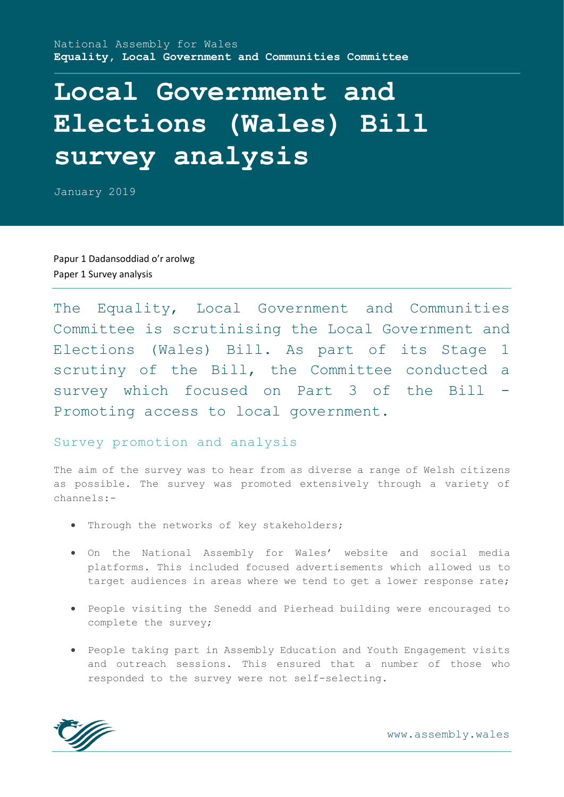# **Local Government and Elections (Wales) Bill survey analysis**

January 2019

Papur 1 Dadansoddiad o'r arolwg Paper 1 Survey analysis

The Equality, Local Government and Communities Committee is scrutinising the Local Government and Elections (Wales) Bill. As part of its Stage 1 scrutiny of the Bill, the Committee conducted a survey which focused on Part 3 of the Bill -Promoting access to local government.

# Survey promotion and analysis

The aim of the survey was to hear from as diverse a range of Welsh citizens as possible. The survey was promoted extensively through a variety of channels:-

- . Through the networks of key stakeholders;
- On the National Assembly for Wales' website and social media platforms. This included focused advertisements which allowed us to target audiences in areas where we tend to get a lower response rate;
- People visiting the Senedd and Pierhead building were encouraged to complete the survey;
- People taking part in Assembly Education and Youth Engagement visits and outreach sessions. This ensured that a number of those who responded to the survey were not self-selecting.



www.assembly.wales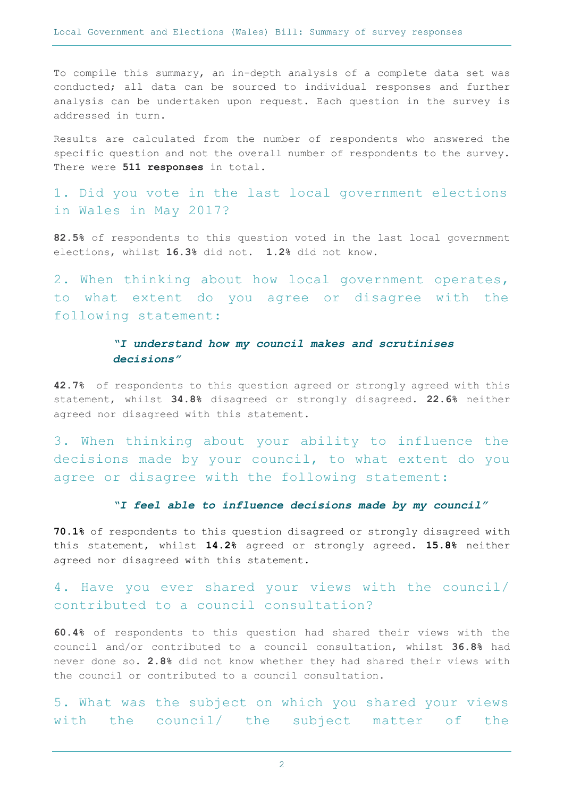To compile this summary, an in-depth analysis of a complete data set was conducted; all data can be sourced to individual responses and further analysis can be undertaken upon request. Each question in the survey is addressed in turn.

Results are calculated from the number of respondents who answered the specific question and not the overall number of respondents to the survey. There were **511 responses** in total.

1. Did you vote in the last local government elections in Wales in May 2017?

**82.5%** of respondents to this question voted in the last local government elections, whilst **16.3%** did not. **1.2%** did not know.

2. When thinking about how local government operates, to what extent do you agree or disagree with the following statement:

# *"I understand how my council makes and scrutinises decisions"*

**42.7%** of respondents to this question agreed or strongly agreed with this statement, whilst **34.8%** disagreed or strongly disagreed. **22.6%** neither agreed nor disagreed with this statement.

3. When thinking about your ability to influence the decisions made by your council, to what extent do you agree or disagree with the following statement:

#### *"I feel able to influence decisions made by my council"*

**70.1%** of respondents to this question disagreed or strongly disagreed with this statement, whilst **14.2%** agreed or strongly agreed. **15.8%** neither agreed nor disagreed with this statement.

# 4. Have you ever shared your views with the council/ contributed to a council consultation?

**60.4%** of respondents to this question had shared their views with the council and/or contributed to a council consultation, whilst **36.8%** had never done so. **2.8%** did not know whether they had shared their views with the council or contributed to a council consultation.

5. What was the subject on which you shared your views with the council/ the subject matter of the

2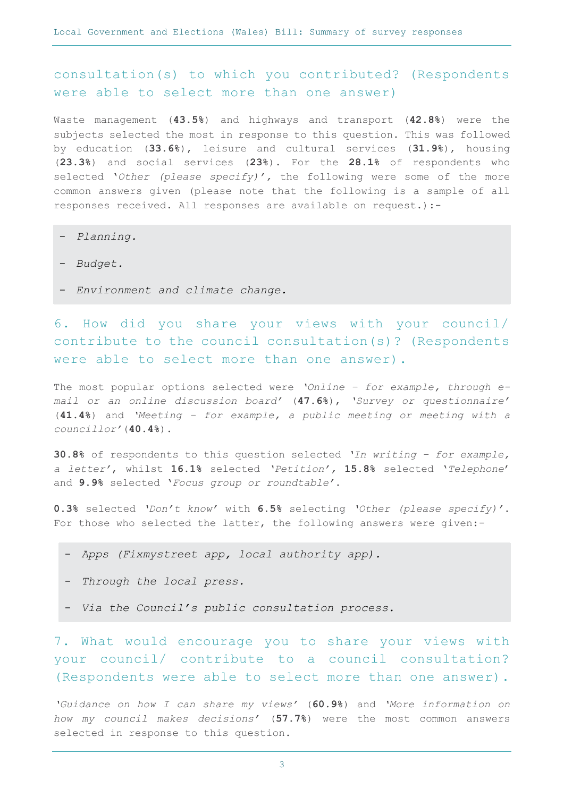consultation(s) to which you contributed? (Respondents were able to select more than one answer)

Waste management (**43.5%**) and highways and transport (**42.8%**) were the subjects selected the most in response to this question. This was followed by education (**33.6%**), leisure and cultural services (**31.9%**), housing (**23.3%**) and social services (**23%**). For the **28.1%** of respondents who selected '*Other (please specify)',* the following were some of the more common answers given (please note that the following is a sample of all responses received. All responses are available on request.):-

- *Planning.*
- *Budget.*
- *Environment and climate change.*

6. How did you share your views with your council/ contribute to the council consultation(s)? (Respondents were able to select more than one answer).

The most popular options selected were *'Online – for example, through email or an online discussion board'* (**47.6%**), *'Survey or questionnaire'*  (**41.4%**) and *'Meeting – for example, a public meeting or meeting with a councillor'*(**40.4%**).

**30.8%** of respondents to this question selected *'In writing – for example, a letter'*, whilst **16.1%** selected *'Petition',* **15.8%** selected '*Telephone*' and **9.9%** selected '*Focus group or roundtable'*.

**0.3%** selected *'Don't know'* with **6.5%** selecting *'Other (please specify)'*. For those who selected the latter, the following answers were given:-

- *Apps (Fixmystreet app, local authority app).*
- *Through the local press.*
- *Via the Council's public consultation process.*

7. What would encourage you to share your views with your council/ contribute to a council consultation? (Respondents were able to select more than one answer).

*'Guidance on how I can share my views'* (**60.9%**) and *'More information on how my council makes decisions'* (**57.7%**) were the most common answers selected in response to this question.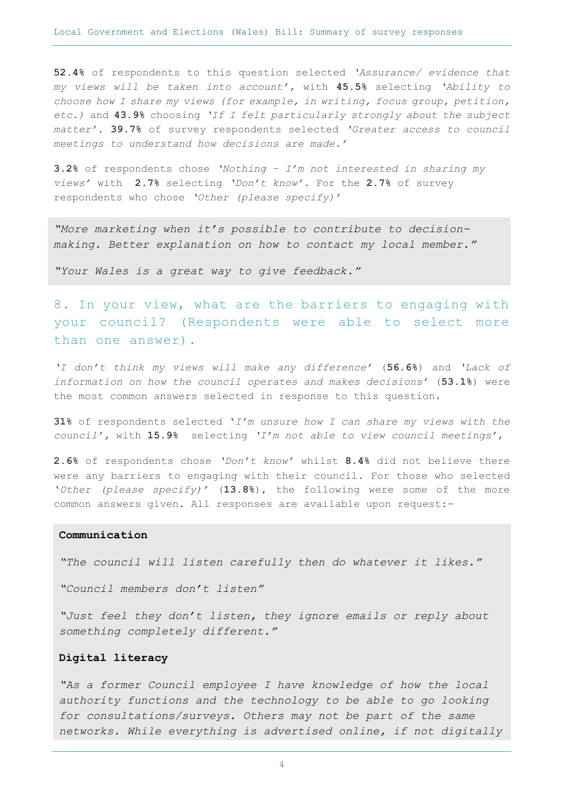**52.4%** of respondents to this question selected *'Assurance/ evidence that my views will be taken into account',* with **45.5%** selecting *'Ability to choose how I share my views (for example, in writing, focus group, petition, etc.)* and **43.9%** choosing *'If I felt particularly strongly about the subject matter'.* **39.7%** of survey respondents selected *'Greater access to council meetings to understand how decisions are made.'* 

**3.2%** of respondents chose *'Nothing – I'm not interested in sharing my views'* with **2.7%** selecting *'Don't know'*. For the **2.7%** of survey respondents who chose *'Other (please specify)'* 

*"More marketing when it's possible to contribute to decisionmaking. Better explanation on how to contact my local member."*

*"Your Wales is a great way to give feedback."*

8. In your view, what are the barriers to engaging with your council? (Respondents were able to select more than one answer).

*'I don't think my views will make any difference'* (**56.6%**) and *'Lack of information on how the council operates and makes decisions'* (**53.1%**) were the most common answers selected in response to this question.

**31%** of respondents selected '*I'm unsure how I can share my views with the council',* with **15.9%** selecting *'I'm not able to view council meetings'*,

**2.6%** of respondents chose *'Don't know'* whilst **8.4%** did not believe there were any barriers to engaging with their council. For those who selected '*Other (please specify)'* (**13.8%**), the following were some of the more common answers given. All responses are available upon request:-

#### **Communication**

*"The council will listen carefully then do whatever it likes."*

*"Council members don't listen"*

*"Just feel they don't listen, they ignore emails or reply about something completely different."*

#### **Digital literacy**

*"As a former Council employee I have knowledge of how the local authority functions and the technology to be able to go looking for consultations/surveys. Others may not be part of the same networks. While everything is advertised online, if not digitally*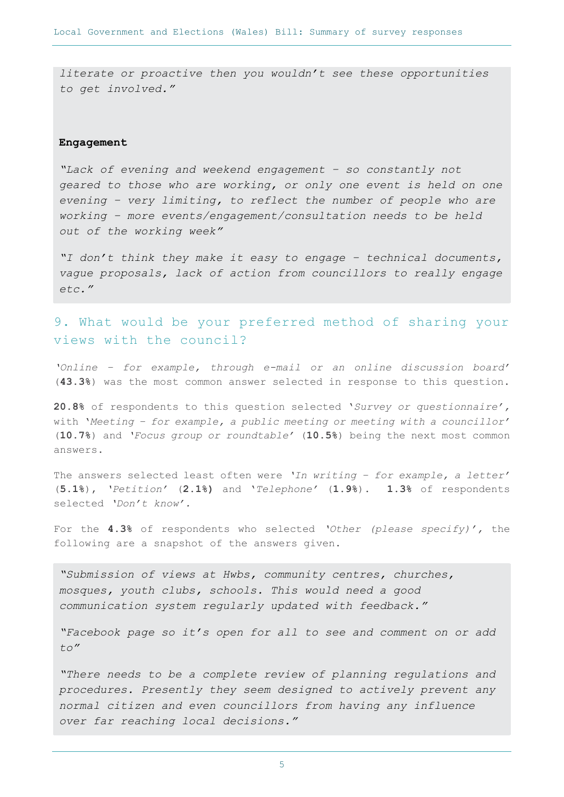*literate or proactive then you wouldn't see these opportunities to get involved."*

#### **Engagement**

*"Lack of evening and weekend engagement – so constantly not geared to those who are working, or only one event is held on one evening – very limiting, to reflect the number of people who are working – more events/engagement/consultation needs to be held out of the working week"*

*"I don't think they make it easy to engage – technical documents, vague proposals, lack of action from councillors to really engage etc."*

# 9. What would be your preferred method of sharing your views with the council?

*'Online – for example, through e-mail or an online discussion board'*  (**43.3%**) was the most common answer selected in response to this question.

**20.8%** of respondents to this question selected '*Survey or questionnaire',*  with '*Meeting – for example, a public meeting or meeting with a councillor'*  (**10.7%**) and *'Focus group or roundtable'* (**10.5%**) being the next most common answers.

The answers selected least often were *'In writing – for example, a letter'*  (**5.1%**), *'Petition'* (**2.1%)** and '*Telephone'* (**1.9%**). **1.3%** of respondents selected *'Don't know'.* 

For the **4.3%** of respondents who selected *'Other (please specify)',* the following are a snapshot of the answers given.

*"Submission of views at Hwbs, community centres, churches, mosques, youth clubs, schools. This would need a good communication system regularly updated with feedback."*

*"Facebook page so it's open for all to see and comment on or add to"*

*"There needs to be a complete review of planning regulations and procedures. Presently they seem designed to actively prevent any normal citizen and even councillors from having any influence over far reaching local decisions."*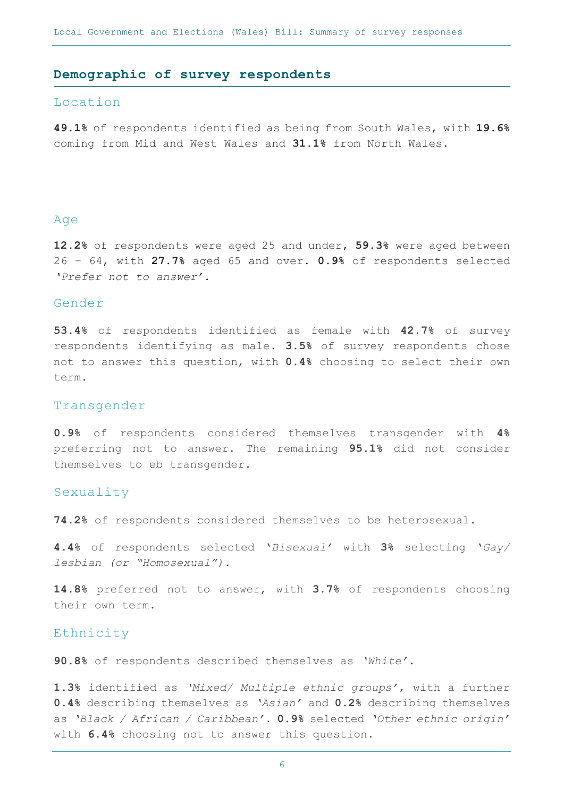#### **Demographic of survey respondents**

#### Location

**49.1%** of respondents identified as being from South Wales, with **19.6%**  coming from Mid and West Wales and **31.1%** from North Wales.

#### Age

**12.2%** of respondents were aged 25 and under, **59.3%** were aged between 26 – 64, with **27.7%** aged 65 and over. **0.9%** of respondents selected *'Prefer not to answer'.*

## Gender

**53.4%** of respondents identified as female with **42.7%** of survey respondents identifying as male. **3.5%** of survey respondents chose not to answer this question, with **0.4%** choosing to select their own term.

#### Transgender

**0.9%** of respondents considered themselves transgender with **4%** preferring not to answer. The remaining **95.1%** did not consider themselves to eb transgender.

#### Sexuality

**74.2%** of respondents considered themselves to be heterosexual.

**4.4%** of respondents selected '*Bisexual'* with **3%** selecting '*Gay/ lesbian (or "Homosexual").* 

**14.8%** preferred not to answer, with **3.7%** of respondents choosing their own term.

### Ethnicity

**90.8%** of respondents described themselves as *'White'.*

**1.3%** identified as *'Mixed/ Multiple ethnic groups'*, with a further **0.4%** describing themselves as *'Asian'* and **0.2%** describing themselves as *'Black / African / Caribbean'.* **0.9%** selected *'Other ethnic origin'*  with **6.4%** choosing not to answer this question.